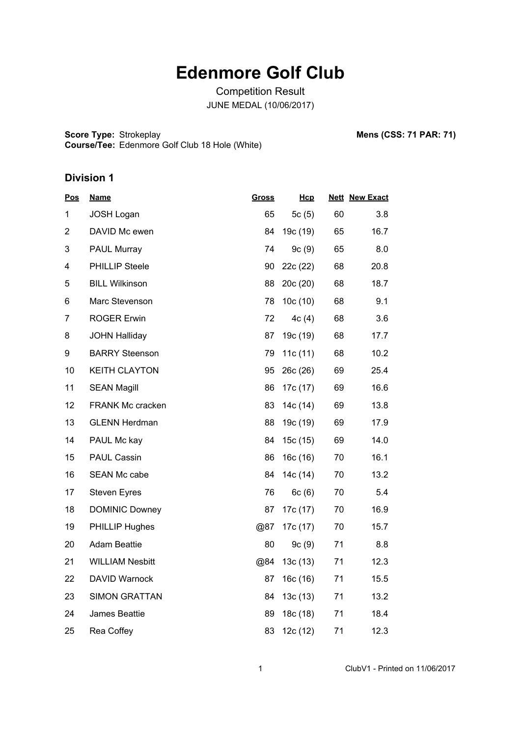# **Edenmore Golf Club**

Competition Result JUNE MEDAL (10/06/2017)

**Score Type: Course/Tee:** Strokeplay **Mens (CSS: 71 PAR: 71)** Edenmore Golf Club 18 Hole (White)

| <u>Pos</u>     | <b>Name</b>            | <b>Gross</b> | Hcp      |    | <b>Nett New Exact</b> |
|----------------|------------------------|--------------|----------|----|-----------------------|
| 1              | <b>JOSH Logan</b>      | 65           | 5 $c(5)$ | 60 | 3.8                   |
| $\overline{2}$ | DAVID Mc ewen          | 84           | 19c (19) | 65 | 16.7                  |
| 3              | <b>PAUL Murray</b>     | 74           | 9c(9)    | 65 | 8.0                   |
| 4              | <b>PHILLIP Steele</b>  | 90           | 22c (22) | 68 | 20.8                  |
| 5              | <b>BILL Wilkinson</b>  | 88           | 20c(20)  | 68 | 18.7                  |
| 6              | Marc Stevenson         | 78           | 10c(10)  | 68 | 9.1                   |
| 7              | <b>ROGER Erwin</b>     | 72           | 4c(4)    | 68 | 3.6                   |
| 8              | <b>JOHN Halliday</b>   | 87           | 19c (19) | 68 | 17.7                  |
| 9              | <b>BARRY Steenson</b>  | 79           | 11c(11)  | 68 | 10.2                  |
| 10             | <b>KEITH CLAYTON</b>   | 95           | 26c(26)  | 69 | 25.4                  |
| 11             | <b>SEAN Magill</b>     | 86           | 17c (17) | 69 | 16.6                  |
| 12             | FRANK Mc cracken       | 83           | 14c (14) | 69 | 13.8                  |
| 13             | <b>GLENN Herdman</b>   | 88           | 19c (19) | 69 | 17.9                  |
| 14             | PAUL Mc kay            | 84           | 15c(15)  | 69 | 14.0                  |
| 15             | <b>PAUL Cassin</b>     | 86           | 16c(16)  | 70 | 16.1                  |
| 16             | <b>SEAN Mc cabe</b>    | 84           | 14c (14) | 70 | 13.2                  |
| 17             | <b>Steven Eyres</b>    | 76           | 6c(6)    | 70 | 5.4                   |
| 18             | <b>DOMINIC Downey</b>  | 87           | 17c (17) | 70 | 16.9                  |
| 19             | <b>PHILLIP Hughes</b>  | @87          | 17c (17) | 70 | 15.7                  |
| 20             | <b>Adam Beattie</b>    | 80           | 9c(9)    | 71 | 8.8                   |
| 21             | <b>WILLIAM Nesbitt</b> | @84          | 13c(13)  | 71 | 12.3                  |
| 22             | <b>DAVID Warnock</b>   | 87           | 16c(16)  | 71 | 15.5                  |
| 23             | <b>SIMON GRATTAN</b>   | 84           | 13c(13)  | 71 | 13.2                  |
| 24             | James Beattie          | 89           | 18c(18)  | 71 | 18.4                  |
| 25             | Rea Coffey             | 83           | 12c (12) | 71 | 12.3                  |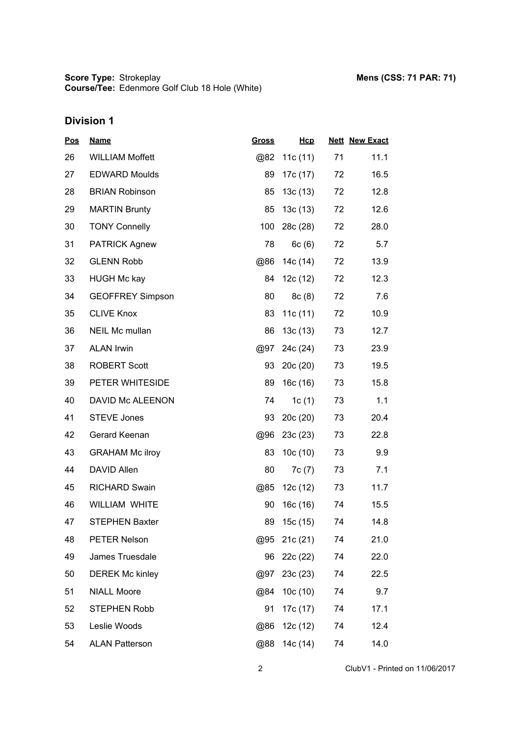| <u>Pos</u> | <b>Name</b>             | <u>Gross</u> | Hcp      |    | <b>Nett New Exact</b> |
|------------|-------------------------|--------------|----------|----|-----------------------|
| 26         | <b>WILLIAM Moffett</b>  | @82          | 11c(11)  | 71 | 11.1                  |
| 27         | <b>EDWARD Moulds</b>    | 89           | 17c (17) | 72 | 16.5                  |
| 28         | <b>BRIAN Robinson</b>   | 85           | 13c(13)  | 72 | 12.8                  |
| 29         | <b>MARTIN Brunty</b>    | 85           | 13c(13)  | 72 | 12.6                  |
| 30         | <b>TONY Connelly</b>    | 100          | 28c (28) | 72 | 28.0                  |
| 31         | <b>PATRICK Agnew</b>    | 78           | 6c(6)    | 72 | 5.7                   |
| 32         | <b>GLENN Robb</b>       | @86          | 14c (14) | 72 | 13.9                  |
| 33         | <b>HUGH Mc kay</b>      | 84           | 12c (12) | 72 | 12.3                  |
| 34         | <b>GEOFFREY Simpson</b> | 80           | 8c(8)    | 72 | 7.6                   |
| 35         | <b>CLIVE Knox</b>       | 83           | 11c(11)  | 72 | 10.9                  |
| 36         | NEIL Mc mullan          | 86           | 13c(13)  | 73 | 12.7                  |
| 37         | <b>ALAN Irwin</b>       | @97          | 24c (24) | 73 | 23.9                  |
| 38         | <b>ROBERT Scott</b>     | 93           | 20c(20)  | 73 | 19.5                  |
| 39         | PETER WHITESIDE         | 89           | 16c(16)  | 73 | 15.8                  |
| 40         | DAVID Mc ALEENON        | 74           | 1c $(1)$ | 73 | 1.1                   |
| 41         | <b>STEVE Jones</b>      | 93           | 20c(20)  | 73 | 20.4                  |
| 42         | Gerard Keenan           | @96          | 23c(23)  | 73 | 22.8                  |
| 43         | <b>GRAHAM Mc ilroy</b>  | 83           | 10c(10)  | 73 | 9.9                   |
| 44         | <b>DAVID Allen</b>      | 80           | 7c(7)    | 73 | 7.1                   |
| 45         | <b>RICHARD Swain</b>    | @85          | 12c(12)  | 73 | 11.7                  |
| 46         | <b>WILLIAM WHITE</b>    | 90           | 16c (16) | 74 | 15.5                  |
| 47         | <b>STEPHEN Baxter</b>   | 89           | 15c (15) | 74 | 14.8                  |
| 48         | <b>PETER Nelson</b>     | @95          | 21c (21) | 74 | 21.0                  |
| 49         | James Truesdale         | 96           | 22c (22) | 74 | 22.0                  |
| 50         | <b>DEREK Mc kinley</b>  | @97          | 23c (23) | 74 | 22.5                  |
| 51         | <b>NIALL Moore</b>      | @84          | 10c(10)  | 74 | 9.7                   |
| 52         | <b>STEPHEN Robb</b>     | 91           | 17c (17) | 74 | 17.1                  |
| 53         | Leslie Woods            | @86          | 12c (12) | 74 | 12.4                  |
| 54         | <b>ALAN Patterson</b>   | @88          | 14c (14) | 74 | 14.0                  |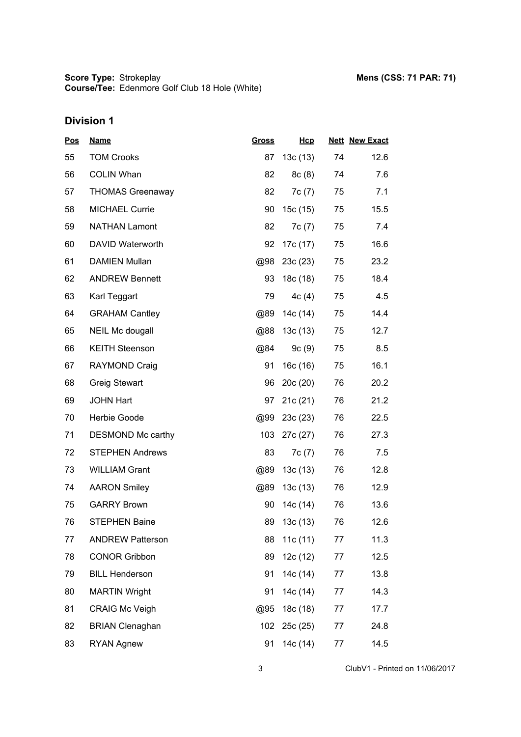| <u>Pos</u> | <b>Name</b>             | <b>Gross</b> | Hcp      |    | <b>Nett New Exact</b> |
|------------|-------------------------|--------------|----------|----|-----------------------|
| 55         | <b>TOM Crooks</b>       | 87           | 13c(13)  | 74 | 12.6                  |
| 56         | <b>COLIN Whan</b>       | 82           | 8c(8)    | 74 | 7.6                   |
| 57         | <b>THOMAS Greenaway</b> | 82           | 7c(7)    | 75 | 7.1                   |
| 58         | <b>MICHAEL Currie</b>   | 90           | 15c(15)  | 75 | 15.5                  |
| 59         | <b>NATHAN Lamont</b>    | 82           | 7c(7)    | 75 | 7.4                   |
| 60         | DAVID Waterworth        | 92           | 17c (17) | 75 | 16.6                  |
| 61         | <b>DAMIEN Mullan</b>    | @98          | 23c(23)  | 75 | 23.2                  |
| 62         | <b>ANDREW Bennett</b>   | 93           | 18c (18) | 75 | 18.4                  |
| 63         | Karl Teggart            | 79           | 4c(4)    | 75 | 4.5                   |
| 64         | <b>GRAHAM Cantley</b>   | @89          | 14c (14) | 75 | 14.4                  |
| 65         | <b>NEIL Mc dougall</b>  | @88          | 13c(13)  | 75 | 12.7                  |
| 66         | <b>KEITH Steenson</b>   | @84          | 9c(9)    | 75 | 8.5                   |
| 67         | RAYMOND Craig           | 91           | 16c(16)  | 75 | 16.1                  |
| 68         | <b>Greig Stewart</b>    | 96           | 20c(20)  | 76 | 20.2                  |
| 69         | <b>JOHN Hart</b>        | 97           | 21c(21)  | 76 | 21.2                  |
| 70         | Herbie Goode            | @99          | 23c(23)  | 76 | 22.5                  |
| 71         | DESMOND Mc carthy       | 103          | 27c (27) | 76 | 27.3                  |
| 72         | <b>STEPHEN Andrews</b>  | 83           | 7c (7)   | 76 | 7.5                   |
| 73         | <b>WILLIAM Grant</b>    | @89          | 13c(13)  | 76 | 12.8                  |
| 74         | <b>AARON Smiley</b>     | @89          | 13c(13)  | 76 | 12.9                  |
| 75         | <b>GARRY Brown</b>      | 90           | 14c (14) | 76 | 13.6                  |
| 76         | <b>STEPHEN Baine</b>    | 89           | 13c(13)  | 76 | 12.6                  |
| 77         | <b>ANDREW Patterson</b> | 88           | 11c(11)  | 77 | 11.3                  |
| 78         | <b>CONOR Gribbon</b>    | 89           | 12c (12) | 77 | 12.5                  |
| 79         | <b>BILL Henderson</b>   | 91           | 14c (14) | 77 | 13.8                  |
| 80         | <b>MARTIN Wright</b>    | 91           | 14c (14) | 77 | 14.3                  |
| 81         | <b>CRAIG Mc Veigh</b>   | @95          | 18c (18) | 77 | 17.7                  |
| 82         | <b>BRIAN Clenaghan</b>  | 102          | 25c(25)  | 77 | 24.8                  |
| 83         | <b>RYAN Agnew</b>       | 91           | 14c (14) | 77 | 14.5                  |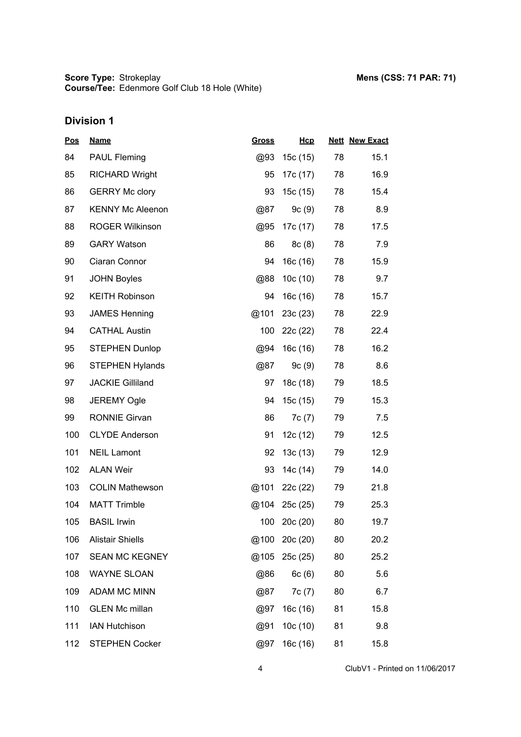| <u>Pos</u> | <b>Name</b>             | <u>Gross</u> | Hcp      |    | <b>Nett New Exact</b> |
|------------|-------------------------|--------------|----------|----|-----------------------|
| 84         | <b>PAUL Fleming</b>     | @93          | 15c (15) | 78 | 15.1                  |
| 85         | <b>RICHARD Wright</b>   | 95           | 17c (17) | 78 | 16.9                  |
| 86         | <b>GERRY Mc clory</b>   | 93           | 15c (15) | 78 | 15.4                  |
| 87         | <b>KENNY Mc Aleenon</b> | @87          | 9c(9)    | 78 | 8.9                   |
| 88         | <b>ROGER Wilkinson</b>  | @95          | 17c (17) | 78 | 17.5                  |
| 89         | <b>GARY Watson</b>      | 86           | 8c(8)    | 78 | 7.9                   |
| 90         | Ciaran Connor           | 94           | 16c(16)  | 78 | 15.9                  |
| 91         | <b>JOHN Boyles</b>      | @88          | 10c(10)  | 78 | 9.7                   |
| 92         | <b>KEITH Robinson</b>   | 94           | 16c (16) | 78 | 15.7                  |
| 93         | <b>JAMES Henning</b>    | @101         | 23c(23)  | 78 | 22.9                  |
| 94         | <b>CATHAL Austin</b>    | 100          | 22c (22) | 78 | 22.4                  |
| 95         | <b>STEPHEN Dunlop</b>   | @94          | 16c(16)  | 78 | 16.2                  |
| 96         | <b>STEPHEN Hylands</b>  | @87          | 9c(9)    | 78 | 8.6                   |
| 97         | <b>JACKIE Gilliland</b> | 97           | 18c (18) | 79 | 18.5                  |
| 98         | <b>JEREMY Ogle</b>      | 94           | 15c (15) | 79 | 15.3                  |
| 99         | <b>RONNIE Girvan</b>    | 86           | 7c(7)    | 79 | 7.5                   |
| 100        | <b>CLYDE Anderson</b>   | 91           | 12c(12)  | 79 | 12.5                  |
| 101        | <b>NEIL Lamont</b>      | 92           | 13c(13)  | 79 | 12.9                  |
| 102        | <b>ALAN Weir</b>        | 93           | 14c (14) | 79 | 14.0                  |
| 103        | <b>COLIN Mathewson</b>  | @101         | 22c (22) | 79 | 21.8                  |
| 104        | <b>MATT Trimble</b>     | @104         | 25c(25)  | 79 | 25.3                  |
| 105        | <b>BASIL Irwin</b>      | 100          | 20c(20)  | 80 | 19.7                  |
| 106        | <b>Alistair Shiells</b> | @100         | 20c(20)  | 80 | 20.2                  |
| 107        | <b>SEAN MC KEGNEY</b>   | @105         | 25c (25) | 80 | 25.2                  |
| 108        | <b>WAYNE SLOAN</b>      | @86          | 6c(6)    | 80 | 5.6                   |
| 109        | ADAM MC MINN            | @87          | 7c(7)    | 80 | 6.7                   |
| 110        | <b>GLEN Mc millan</b>   | @97          | 16c(16)  | 81 | 15.8                  |
| 111        | <b>IAN Hutchison</b>    | @91          | 10c(10)  | 81 | 9.8                   |
| 112        | <b>STEPHEN Cocker</b>   | @97          | 16c (16) | 81 | 15.8                  |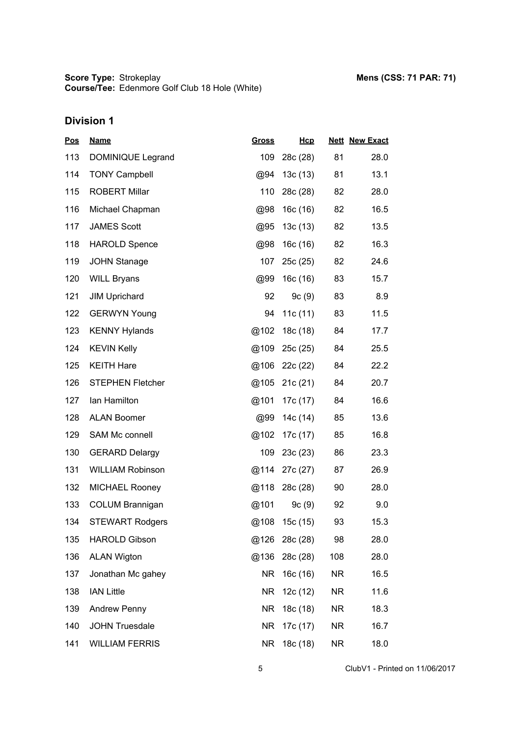| <b>Pos</b> | <b>Name</b>             | <b>Gross</b> | Hcp      |           | <b>Nett New Exact</b> |
|------------|-------------------------|--------------|----------|-----------|-----------------------|
| 113        | DOMINIQUE Legrand       | 109          | 28c (28) | 81        | 28.0                  |
| 114        | <b>TONY Campbell</b>    | @94          | 13c(13)  | 81        | 13.1                  |
| 115        | <b>ROBERT Millar</b>    | 110          | 28c (28) | 82        | 28.0                  |
| 116        | Michael Chapman         | @98          | 16c (16) | 82        | 16.5                  |
| 117        | <b>JAMES Scott</b>      | @95          | 13c(13)  | 82        | 13.5                  |
| 118        | <b>HAROLD Spence</b>    | @98          | 16c (16) | 82        | 16.3                  |
| 119        | <b>JOHN Stanage</b>     | 107          | 25c(25)  | 82        | 24.6                  |
| 120        | <b>WILL Bryans</b>      | @99          | 16c (16) | 83        | 15.7                  |
| 121        | <b>JIM Uprichard</b>    | 92           | 9c(9)    | 83        | 8.9                   |
| 122        | <b>GERWYN Young</b>     | 94           | 11c(11)  | 83        | 11.5                  |
| 123        | <b>KENNY Hylands</b>    | @102         | 18c (18) | 84        | 17.7                  |
| 124        | <b>KEVIN Kelly</b>      | @109         | 25c (25) | 84        | 25.5                  |
| 125        | <b>KEITH Hare</b>       | @106         | 22c(22)  | 84        | 22.2                  |
| 126        | <b>STEPHEN Fletcher</b> | @105         | 21c(21)  | 84        | 20.7                  |
| 127        | lan Hamilton            | @101         | 17c (17) | 84        | 16.6                  |
| 128        | <b>ALAN Boomer</b>      | @99          | 14c (14) | 85        | 13.6                  |
| 129        | SAM Mc connell          | @102         | 17c (17) | 85        | 16.8                  |
| 130        | <b>GERARD Delargy</b>   | 109          | 23c(23)  | 86        | 23.3                  |
| 131        | <b>WILLIAM Robinson</b> | @114         | 27c (27) | 87        | 26.9                  |
| 132        | <b>MICHAEL Rooney</b>   | @118         | 28c (28) | 90        | 28.0                  |
| 133        | <b>COLUM Brannigan</b>  | @101         | 9c(9)    | 92        | 9.0                   |
| 134        | <b>STEWART Rodgers</b>  | @108         | 15c(15)  | 93        | 15.3                  |
| 135        | <b>HAROLD Gibson</b>    | @126         | 28c (28) | 98        | 28.0                  |
| 136        | <b>ALAN Wigton</b>      | @136         | 28c (28) | 108       | 28.0                  |
| 137        | Jonathan Mc gahey       | NR.          | 16c (16) | NR.       | 16.5                  |
| 138        | <b>IAN Little</b>       | NR.          | 12c (12) | NR.       | 11.6                  |
| 139        | <b>Andrew Penny</b>     | NR.          | 18c (18) | NR.       | 18.3                  |
| 140        | <b>JOHN Truesdale</b>   | <b>NR</b>    | 17c (17) | NR.       | 16.7                  |
| 141        | <b>WILLIAM FERRIS</b>   | <b>NR</b>    | 18c (18) | <b>NR</b> | 18.0                  |